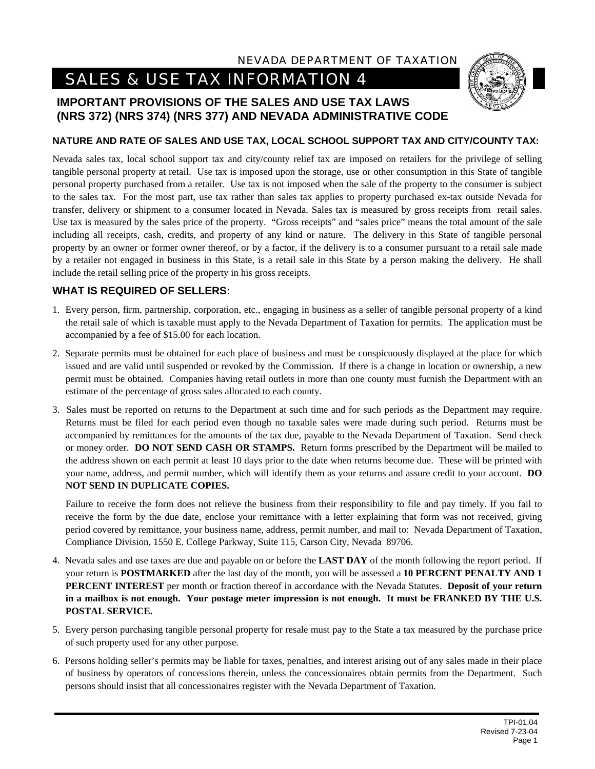## NEVADA DEPARTMENT OF TAXATION

# *SALES & USE TAX INFORMATION 4*

# **IMPORTANT PROVISIONS OF THE SALES AND USE TAX LAWS (NRS 372) (NRS 374) (NRS 377) AND NEVADA ADMINISTRATIVE CODE**

#### **NATURE AND RATE OF SALES AND USE TAX, LOCAL SCHOOL SUPPORT TAX AND CITY/COUNTY TAX:**

Nevada sales tax, local school support tax and city/county relief tax are imposed on retailers for the privilege of selling tangible personal property at retail. Use tax is imposed upon the storage, use or other consumption in this State of tangible personal property purchased from a retailer. Use tax is not imposed when the sale of the property to the consumer is subject to the sales tax. For the most part, use tax rather than sales tax applies to property purchased ex-tax outside Nevada for transfer, delivery or shipment to a consumer located in Nevada. Sales tax is measured by gross receipts from retail sales. Use tax is measured by the sales price of the property. "Gross receipts" and "sales price" means the total amount of the sale including all receipts, cash, credits, and property of any kind or nature. The delivery in this State of tangible personal property by an owner or former owner thereof, or by a factor, if the delivery is to a consumer pursuant to a retail sale made by a retailer not engaged in business in this State, is a retail sale in this State by a person making the delivery. He shall include the retail selling price of the property in his gross receipts.

## **WHAT IS REQUIRED OF SELLERS:**

- 1. Every person, firm, partnership, corporation, etc., engaging in business as a seller of tangible personal property of a kind the retail sale of which is taxable must apply to the Nevada Department of Taxation for permits. The application must be accompanied by a fee of \$15.00 for each location.
- 2. Separate permits must be obtained for each place of business and must be conspicuously displayed at the place for which issued and are valid until suspended or revoked by the Commission. If there is a change in location or ownership, a new permit must be obtained. Companies having retail outlets in more than one county must furnish the Department with an estimate of the percentage of gross sales allocated to each county.
- 3. Sales must be reported on returns to the Department at such time and for such periods as the Department may require. Returns must be filed for each period even though no taxable sales were made during such period. Returns must be accompanied by remittances for the amounts of the tax due, payable to the Nevada Department of Taxation. Send check or money order. **DO NOT SEND CASH OR STAMPS.** Return forms prescribed by the Department will be mailed to the address shown on each permit at least 10 days prior to the date when returns become due. These will be printed with your name, address, and permit number, which will identify them as your returns and assure credit to your account. **DO NOT SEND IN DUPLICATE COPIES.**

Failure to receive the form does not relieve the business from their responsibility to file and pay timely. If you fail to receive the form by the due date, enclose your remittance with a letter explaining that form was not received, giving period covered by remittance, your business name, address, permit number, and mail to: Nevada Department of Taxation, Compliance Division, 1550 E. College Parkway, Suite 115, Carson City, Nevada 89706.

- 4. Nevada sales and use taxes are due and payable on or before the **LAST DAY** of the month following the report period. If your return is **POSTMARKED** after the last day of the month, you will be assessed a **10 PERCENT PENALTY AND 1 PERCENT INTEREST** per month or fraction thereof in accordance with the Nevada Statutes. **Deposit of your return in a mailbox is not enough. Your postage meter impression is not enough. It must be FRANKED BY THE U.S. POSTAL SERVICE.**
- 5. Every person purchasing tangible personal property for resale must pay to the State a tax measured by the purchase price of such property used for any other purpose.
- 6. Persons holding seller's permits may be liable for taxes, penalties, and interest arising out of any sales made in their place of business by operators of concessions therein, unless the concessionaires obtain permits from the Department. Such persons should insist that all concessionaires register with the Nevada Department of Taxation.